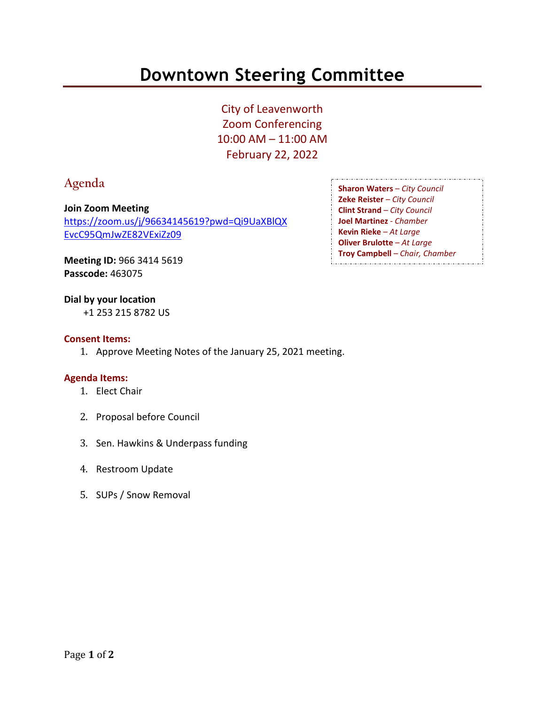# **Downtown Steering Committee**

City of Leavenworth Zoom Conferencing 10:00 AM – 11:00 AM February 22, 2022

# **Agenda**

**Join Zoom Meeting** [https://zoom.us/j/96634145619?pwd=Qi9UaXBlQX](https://zoom.us/j/96634145619?pwd=Qi9UaXBlQXEvcC95QmJwZE82VExiZz09) [EvcC95QmJwZE82VExiZz09](https://zoom.us/j/96634145619?pwd=Qi9UaXBlQXEvcC95QmJwZE82VExiZz09)

**Sharon Waters** – *City Council* **Zeke Reister** – *City Council* **Clint Strand** – *City Council* **Joel Martinez** - *Chamber* **Kevin Rieke** – *At Large* **Oliver Brulotte** – *At Large* **Troy Campbell** – *Chair, Chamber*

**Meeting ID:** 966 3414 5619 **Passcode:** 463075

## **Dial by your location**

+1 253 215 8782 US

#### **Consent Items:**

1. Approve Meeting Notes of the January 25, 2021 meeting.

## **Agenda Items:**

- 1. Elect Chair
- 2. Proposal before Council
- 3. Sen. Hawkins & Underpass funding
- 4. Restroom Update
- 5. SUPs / Snow Removal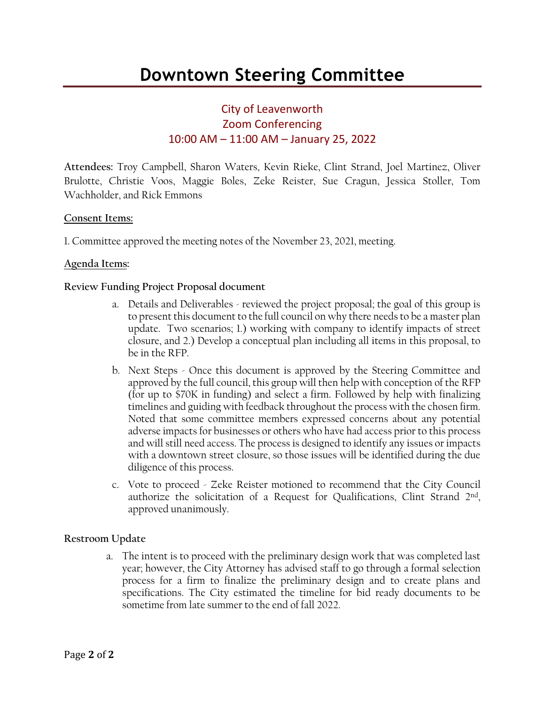# City of Leavenworth Zoom Conferencing 10:00 AM – 11:00 AM – January 25, 2022

**Attendees:** Troy Campbell, Sharon Waters, Kevin Rieke, Clint Strand, Joel Martinez, Oliver Brulotte, Christie Voos, Maggie Boles, Zeke Reister, Sue Cragun, Jessica Stoller, Tom Wachholder, and Rick Emmons

# **Consent Items:**

1. Committee approved the meeting notes of the November 23, 2021, meeting.

#### **Agenda Items:**

#### **Review Funding Project Proposal document**

- a. Details and Deliverables reviewed the project proposal; the goal of this group is to present this document to the full council on why there needs to be a master plan update. Two scenarios; 1.) working with company to identify impacts of street closure, and 2.) Develop a conceptual plan including all items in this proposal, to be in the RFP.
- b. Next Steps Once this document is approved by the Steering Committee and approved by the full council, this group will then help with conception of the RFP (for up to \$70K in funding) and select a firm. Followed by help with finalizing timelines and guiding with feedback throughout the process with the chosen firm. Noted that some committee members expressed concerns about any potential adverse impacts for businesses or others who have had access prior to this process and will still need access. The process is designed to identify any issues or impacts with a downtown street closure, so those issues will be identified during the due diligence of this process.
- c. Vote to proceed Zeke Reister motioned to recommend that the City Council authorize the solicitation of a Request for Qualifications, Clint Strand 2nd, approved unanimously.

## **Restroom Update**

a. The intent is to proceed with the preliminary design work that was completed last year; however, the City Attorney has advised staff to go through a formal selection process for a firm to finalize the preliminary design and to create plans and specifications. The City estimated the timeline for bid ready documents to be sometime from late summer to the end of fall 2022.